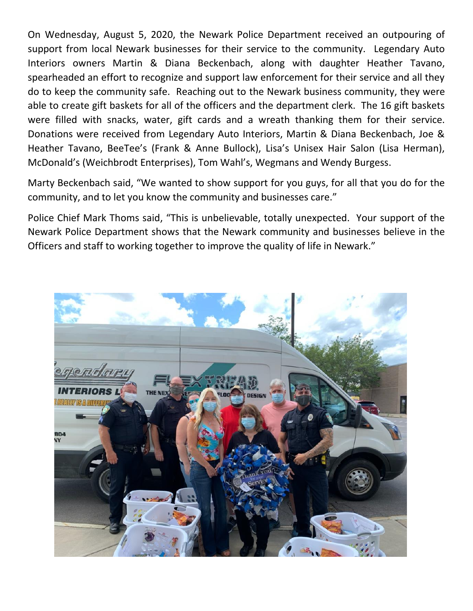On Wednesday, August 5, 2020, the Newark Police Department received an outpouring of support from local Newark businesses for their service to the community. Legendary Auto Interiors owners Martin & Diana Beckenbach, along with daughter Heather Tavano, spearheaded an effort to recognize and support law enforcement for their service and all they do to keep the community safe. Reaching out to the Newark business community, they were able to create gift baskets for all of the officers and the department clerk. The 16 gift baskets were filled with snacks, water, gift cards and a wreath thanking them for their service. Donations were received from Legendary Auto Interiors, Martin & Diana Beckenbach, Joe & Heather Tavano, BeeTee's (Frank & Anne Bullock), Lisa's Unisex Hair Salon (Lisa Herman), McDonald's (Weichbrodt Enterprises), Tom Wahl's, Wegmans and Wendy Burgess.

Marty Beckenbach said, "We wanted to show support for you guys, for all that you do for the community, and to let you know the community and businesses care."

Police Chief Mark Thoms said, "This is unbelievable, totally unexpected. Your support of the Newark Police Department shows that the Newark community and businesses believe in the Officers and staff to working together to improve the quality of life in Newark."